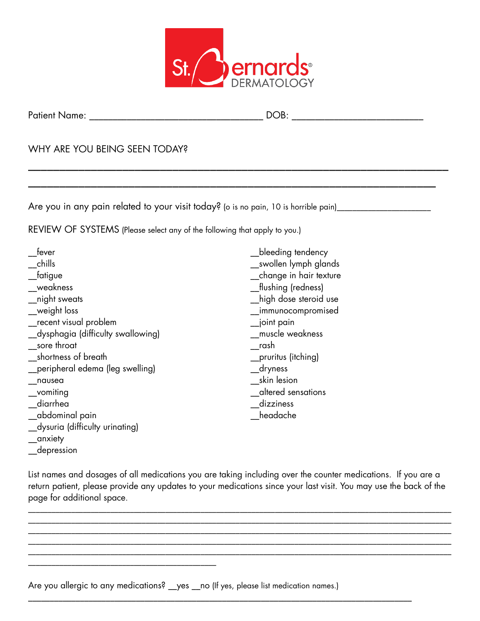

\_\_\_\_\_\_\_\_\_\_\_\_\_\_\_\_\_\_\_\_\_\_\_\_\_\_\_\_\_\_\_\_\_\_\_\_\_\_\_\_\_\_\_\_\_\_\_\_\_\_\_\_\_\_\_\_\_\_\_\_\_\_\_\_\_\_\_

\_\_\_\_\_\_\_\_\_\_\_\_\_\_\_\_\_\_\_\_\_\_\_\_\_\_\_\_\_\_\_\_\_\_\_\_\_\_\_\_\_\_\_\_\_\_\_\_\_\_\_\_\_\_\_\_\_\_\_\_\_\_\_\_\_

Patient Name: \_\_\_\_\_\_\_\_\_\_\_\_\_\_\_\_\_\_\_\_\_\_\_\_\_\_\_\_\_\_\_\_\_\_\_\_\_ DOB: \_\_\_\_\_\_\_\_\_\_\_\_\_\_\_\_\_\_\_\_\_\_\_\_\_\_\_\_

#### WHY ARE YOU BEING SEEN TODAY?

Are you in any pain related to your visit today? (o is no pain, 10 is horrible pain)\_\_\_\_\_\_\_\_\_\_\_\_\_\_\_\_\_\_\_\_\_\_\_\_\_\_

REVIEW OF SYSTEMS (Please select any of the following that apply to you.)

| fever                               | bleeding tendency       |
|-------------------------------------|-------------------------|
| chills                              | __swollen lymph glands  |
| fatigue                             | _change in hair texture |
| weakness                            | _flushing (redness)     |
| _night sweats                       | high dose steroid use   |
| weight loss                         | _immunocompromised      |
| $\_$ recent visual problem          | $\equiv$ joint pain     |
| __dysphagia (difficulty swallowing) | muscle weakness         |
| sore throat                         | rash                    |
| shortness of breath                 | __pruritus (itching)    |
| peripheral edema (leg swelling)     | $\_$ dryness            |
| nausea                              | skin lesion             |
| _vomiting                           | altered sensations      |
| diarrhea                            | dizziness               |
| __abdominal pain                    | headache                |
| __dysuria (difficulty urinating)    |                         |

- \_\_anxiety
- \_\_depression

List names and dosages of all medications you are taking including over the counter medications. If you are a return patient, please provide any updates to your medications since your last visit. You may use the back of the page for additional space.

\_\_\_\_\_\_\_\_\_\_\_\_\_\_\_\_\_\_\_\_\_\_\_\_\_\_\_\_\_\_\_\_\_\_\_\_\_\_\_\_\_\_\_\_\_\_\_\_\_\_\_\_\_\_\_\_\_\_\_\_\_\_\_\_\_\_\_\_\_\_\_\_\_\_\_\_\_\_\_\_\_\_\_\_\_\_\_\_\_\_\_\_\_\_\_\_\_\_\_\_\_\_\_\_\_\_\_\_ \_\_\_\_\_\_\_\_\_\_\_\_\_\_\_\_\_\_\_\_\_\_\_\_\_\_\_\_\_\_\_\_\_\_\_\_\_\_\_\_\_\_\_\_\_\_\_\_\_\_\_\_\_\_\_\_\_\_\_\_\_\_\_\_\_\_\_\_\_\_\_\_\_\_\_\_\_\_\_\_\_\_\_\_\_\_\_\_\_\_\_\_\_\_\_\_\_\_\_\_\_\_\_\_\_\_\_\_ \_\_\_\_\_\_\_\_\_\_\_\_\_\_\_\_\_\_\_\_\_\_\_\_\_\_\_\_\_\_\_\_\_\_\_\_\_\_\_\_\_\_\_\_\_\_\_\_\_\_\_\_\_\_\_\_\_\_\_\_\_\_\_\_\_\_\_\_\_\_\_\_\_\_\_\_\_\_\_\_\_\_\_\_\_\_\_\_\_\_\_\_\_\_\_\_\_\_\_\_\_\_\_\_\_\_\_\_

\_\_\_\_\_\_\_\_\_\_\_\_\_\_\_\_\_\_\_\_\_\_\_\_\_\_\_\_\_\_\_\_\_\_\_\_\_\_\_\_\_\_\_\_\_\_\_\_\_\_\_\_\_\_\_\_\_\_\_\_\_\_\_\_\_\_\_\_\_\_\_\_\_\_\_\_\_\_\_\_\_\_\_\_\_\_\_\_\_\_\_\_\_\_\_\_\_\_\_\_\_\_\_\_\_\_\_\_

\_\_\_\_\_\_\_\_\_\_\_\_\_\_\_\_\_\_\_\_\_\_\_\_\_\_\_\_\_\_\_\_\_\_\_\_\_\_\_\_\_\_\_\_\_\_\_\_\_\_\_\_\_\_\_\_\_\_\_\_\_\_\_\_\_\_\_\_\_\_\_\_\_\_\_\_\_\_\_\_\_\_\_\_\_\_\_\_\_

Are you allergic to any medications? \_\_yes \_\_no (If yes, please list medication names.)

\_\_\_\_\_\_\_\_\_\_\_\_\_\_\_\_\_\_\_\_\_\_\_\_\_\_\_\_\_\_\_\_\_\_\_\_\_\_\_\_\_\_\_\_\_\_\_\_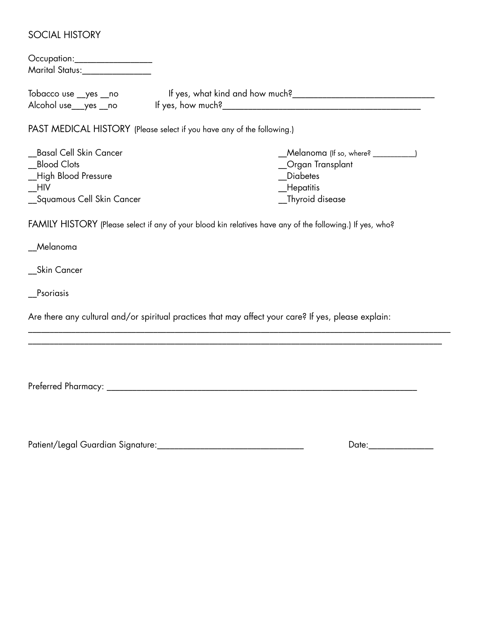#### SOCIAL HISTORY

| Occupation:____________________<br>Marital Status:_________________ |                                                                        |                                                                                                           |  |  |  |
|---------------------------------------------------------------------|------------------------------------------------------------------------|-----------------------------------------------------------------------------------------------------------|--|--|--|
| Tobacco use _yes _no                                                |                                                                        |                                                                                                           |  |  |  |
| Alcohol use__yes __no                                               |                                                                        |                                                                                                           |  |  |  |
|                                                                     | PAST MEDICAL HISTORY (Please select if you have any of the following.) |                                                                                                           |  |  |  |
| Basal Cell Skin Cancer                                              |                                                                        | _Melanoma (If so, where? ________)                                                                        |  |  |  |
| <b>Blood Clots</b>                                                  |                                                                        | _Organ Transplant                                                                                         |  |  |  |
| _High Blood Pressure                                                |                                                                        | <b>Diabetes</b>                                                                                           |  |  |  |
| <b>HIV</b>                                                          |                                                                        | _Hepatitis                                                                                                |  |  |  |
| _Squamous Cell Skin Cancer                                          |                                                                        | _Thyroid disease                                                                                          |  |  |  |
| __Melanoma                                                          |                                                                        | FAMILY HISTORY (Please select if any of your blood kin relatives have any of the following.) If yes, who? |  |  |  |
| __Skin Cancer                                                       |                                                                        |                                                                                                           |  |  |  |
| Psoriasis                                                           |                                                                        |                                                                                                           |  |  |  |
|                                                                     |                                                                        | Are there any cultural and/or spiritual practices that may affect your care? If yes, please explain:      |  |  |  |
|                                                                     |                                                                        |                                                                                                           |  |  |  |
|                                                                     |                                                                        |                                                                                                           |  |  |  |
| Preferred Pharmacy: _________                                       |                                                                        |                                                                                                           |  |  |  |
|                                                                     |                                                                        |                                                                                                           |  |  |  |

Patient/Legal Guardian Signature:\_\_\_\_\_\_\_\_\_\_\_\_\_\_\_\_\_\_\_\_\_\_\_\_\_\_\_\_\_\_\_\_\_\_ Date:\_\_\_\_\_\_\_\_\_\_\_\_\_\_\_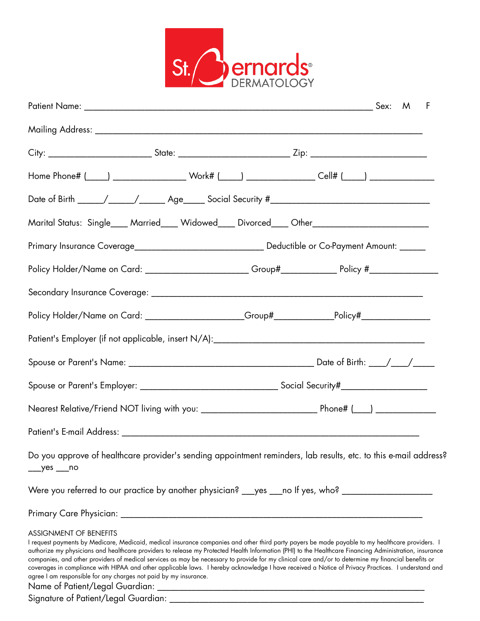

| City: ______________________________State: ______________________________Zip: ___________________________                                                                                                                                                                                                                                                                                                                                                                                                                                                                                                                                                                                                                                                        |  |  |  |
|------------------------------------------------------------------------------------------------------------------------------------------------------------------------------------------------------------------------------------------------------------------------------------------------------------------------------------------------------------------------------------------------------------------------------------------------------------------------------------------------------------------------------------------------------------------------------------------------------------------------------------------------------------------------------------------------------------------------------------------------------------------|--|--|--|
| Home Phone# (____) _____________________Work# (_____) __________________Cell# (____) _______________                                                                                                                                                                                                                                                                                                                                                                                                                                                                                                                                                                                                                                                             |  |  |  |
|                                                                                                                                                                                                                                                                                                                                                                                                                                                                                                                                                                                                                                                                                                                                                                  |  |  |  |
| Marital Status: Single____ Married____ Widowed____ Divorced____ Other______________________________                                                                                                                                                                                                                                                                                                                                                                                                                                                                                                                                                                                                                                                              |  |  |  |
|                                                                                                                                                                                                                                                                                                                                                                                                                                                                                                                                                                                                                                                                                                                                                                  |  |  |  |
| Policy Holder/Name on Card: _______________________Group#________________Policy #__________________                                                                                                                                                                                                                                                                                                                                                                                                                                                                                                                                                                                                                                                              |  |  |  |
|                                                                                                                                                                                                                                                                                                                                                                                                                                                                                                                                                                                                                                                                                                                                                                  |  |  |  |
| Policy Holder/Name on Card: ____________________Group#_____________Policy#______________                                                                                                                                                                                                                                                                                                                                                                                                                                                                                                                                                                                                                                                                         |  |  |  |
|                                                                                                                                                                                                                                                                                                                                                                                                                                                                                                                                                                                                                                                                                                                                                                  |  |  |  |
|                                                                                                                                                                                                                                                                                                                                                                                                                                                                                                                                                                                                                                                                                                                                                                  |  |  |  |
|                                                                                                                                                                                                                                                                                                                                                                                                                                                                                                                                                                                                                                                                                                                                                                  |  |  |  |
|                                                                                                                                                                                                                                                                                                                                                                                                                                                                                                                                                                                                                                                                                                                                                                  |  |  |  |
|                                                                                                                                                                                                                                                                                                                                                                                                                                                                                                                                                                                                                                                                                                                                                                  |  |  |  |
| Do you approve of healthcare provider's sending appointment reminders, lab results, etc. to this e-mail address?                                                                                                                                                                                                                                                                                                                                                                                                                                                                                                                                                                                                                                                 |  |  |  |
| Were you referred to our practice by another physician? ___yes ___no If yes, who? __________________                                                                                                                                                                                                                                                                                                                                                                                                                                                                                                                                                                                                                                                             |  |  |  |
|                                                                                                                                                                                                                                                                                                                                                                                                                                                                                                                                                                                                                                                                                                                                                                  |  |  |  |
| <b>ASSIGNMENT OF BENEFITS</b><br>I request payments by Medicare, Medicaid, medical insurance companies and other third party payers be made payable to my healthcare providers. I<br>authorize my physicians and healthcare providers to release my Protected Health Information (PHI) to the Healthcare Financing Administration, insurance<br>companies, and other providers of medical services as may be necessary to provide for my clinical care and/or to determine my financial benefits or<br>coverages in compliance with HIPAA and other applicable laws. I hereby acknowledge I have received a Notice of Privacy Practices. I understand and<br>agree I am responsible for any charges not paid by my insurance.<br>Name of Patient/Legal Guardian: |  |  |  |

Signature of Patient/Legal Guardian: \_\_\_\_\_\_\_\_\_\_\_\_\_\_\_\_\_\_\_\_\_\_\_\_\_\_\_\_\_\_\_\_\_\_\_\_\_\_\_\_\_\_\_\_\_\_\_\_\_\_\_\_\_\_\_\_\_\_\_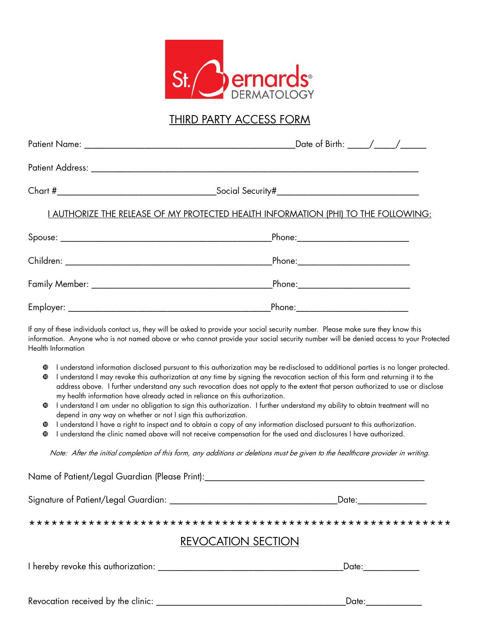

### THIRD PARTY ACCESS FORM

|                        | <u>I AUTHORIZE THE RELEASE OF MY PROTECTED HEALTH INFORMATION (PHI) TO THE FOLLOWING:</u>                                                                                                                                                                                                                                                                                                                                                                                                                                                                                                                                                                                                                                                                                                                              |                                       |  |  |
|------------------------|------------------------------------------------------------------------------------------------------------------------------------------------------------------------------------------------------------------------------------------------------------------------------------------------------------------------------------------------------------------------------------------------------------------------------------------------------------------------------------------------------------------------------------------------------------------------------------------------------------------------------------------------------------------------------------------------------------------------------------------------------------------------------------------------------------------------|---------------------------------------|--|--|
|                        |                                                                                                                                                                                                                                                                                                                                                                                                                                                                                                                                                                                                                                                                                                                                                                                                                        |                                       |  |  |
|                        |                                                                                                                                                                                                                                                                                                                                                                                                                                                                                                                                                                                                                                                                                                                                                                                                                        | _Phone:_____________________________  |  |  |
|                        |                                                                                                                                                                                                                                                                                                                                                                                                                                                                                                                                                                                                                                                                                                                                                                                                                        | _Phone:______________________________ |  |  |
|                        |                                                                                                                                                                                                                                                                                                                                                                                                                                                                                                                                                                                                                                                                                                                                                                                                                        | _Phone:_____________________________  |  |  |
|                        | If any of these individuals contact us, they will be asked to provide your social security number. Please make sure they know this<br>information. Anyone who is not named above or who cannot provide your social security number will be denied access to your Protected<br>Health Information                                                                                                                                                                                                                                                                                                                                                                                                                                                                                                                       |                                       |  |  |
| $\mathbf{C}$<br>◍<br>◍ | I understand information disclosed pursuant to this authorization may be re-disclosed to additional parties is no longer protected.<br>I understand I may revoke this authorization at any time by signing the revocation section of this form and returning it to the<br>address above. I further understand any such revocation does not apply to the extent that person authorized to use or disclose<br>my health information have already acted in reliance on this authorization.<br>I understand I am under no obligation to sign this authorization. I further understand my ability to obtain treatment will no<br>depend in any way on whether or not I sign this authorization.<br>I understand I have a right to inspect and to obtain a copy of any information disclosed pursuant to this authorization. |                                       |  |  |
|                        | <u>in the term of the contract of the contract of the contract of the contract of the contract of the contract of the contract of the contract of the contract of the contract of the contract of the contract of the contract o</u>                                                                                                                                                                                                                                                                                                                                                                                                                                                                                                                                                                                   |                                       |  |  |

I understand the clinic named above will not receive compensation for the used and disclosures I have authorized.

Note: After the initial completion of this form, any additions or deletions must be given to the healthcare provider in writing.

Name of Patient/Legal Guardian (Please Print):\_\_\_\_\_\_\_\_\_\_\_\_\_\_\_\_\_\_\_\_\_\_\_\_\_\_\_\_\_\_\_\_\_\_\_\_\_\_\_\_\_\_\_\_\_\_\_\_\_\_\_ Signature of Patient/Legal Guardian: \_\_\_\_\_\_\_\_\_\_\_\_\_\_\_\_\_\_\_\_\_\_\_\_\_\_\_\_\_\_\_\_\_\_\_\_\_\_\_Date:\_\_\_\_\_\_\_\_\_\_\_\_\_\_\_\_ \*\*\*\*\*\*\*\*\*\*\*\*\*\*\*\*\*\*\*\*\*\*\*\*\*\*\*\*\*\*\*\*\*\*\*\*\*\*\*\*\*\*\*\*\*\*\*\*\*\*\*\*\*\*\*\*\* REVOCATION SECTION I hereby revoke this authorization: \_\_\_\_\_\_\_\_\_\_\_\_\_\_\_\_\_\_\_\_\_\_\_\_\_\_\_\_\_\_\_\_\_\_\_\_\_\_\_\_\_\_\_Date:\_\_\_\_\_\_\_\_\_\_\_\_\_

Revocation received by the clinic: \_\_\_\_\_\_\_\_\_\_\_\_\_\_\_\_\_\_\_\_\_\_\_\_\_\_\_\_\_\_\_\_\_\_\_\_\_\_\_\_\_\_\_\_Date:\_\_\_\_\_\_\_\_\_\_\_\_\_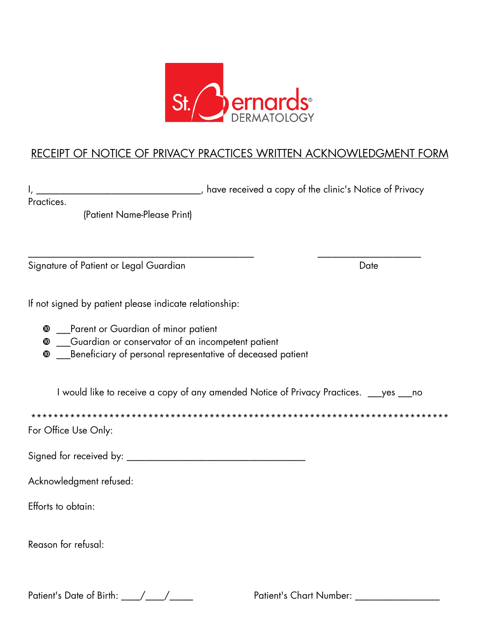

## RECEIPT OF NOTICE OF PRIVACY PRACTICES WRITTEN ACKNOWLEDGMENT FORM

I, \_\_\_\_\_\_\_\_\_\_\_\_\_\_\_\_\_\_\_\_\_\_\_\_\_\_\_\_\_\_\_\_\_, have received a copy of the clinic's Notice of Privacy

\_\_\_\_\_\_\_\_\_\_\_\_\_\_\_\_\_\_\_\_\_\_\_\_\_\_\_\_\_\_\_\_\_\_\_\_\_\_\_\_\_\_\_\_\_\_\_\_ \_\_\_\_\_\_\_\_\_\_\_\_\_\_\_\_\_\_\_\_\_\_

Practices.

(Patient Name-Please Print)

Signature of Patient or Legal Guardian Date Date Date

If not signed by patient please indicate relationship:

- $\bullet$  Parent or Guardian of minor patient
- \_\_\_Guardian or conservator of an incompetent patient
- $\bullet$  \_\_\_Beneficiary of personal representative of deceased patient

I would like to receive a copy of any amended Notice of Privacy Practices. \_\_\_yes \_\_\_no

\*\*\*\*\*\*\*\*\*\*\*\*\*\*\*\*\*\*\*\*\*\*\*\*\*\*\*\*\*\*\*\*\*\*\*\*\*\*\*\*\*\*\*\*\*\*\*\*\*\*\*\*\*\*\*\*\*\*\*\*\*\*\*\*\*\*\*\*\*\*\*\*\*\*\*

For Office Use Only:

Signed for received by: \_\_\_\_\_\_\_\_\_\_\_\_\_\_\_\_\_\_\_\_\_\_\_\_\_\_\_\_\_\_\_\_\_\_\_\_\_\_

Acknowledgment refused:

Efforts to obtain:

Reason for refusal:

Patient's Date of Birth:  $\qquad$  /  $\qquad$  /  $\qquad$  Patient's Chart Number: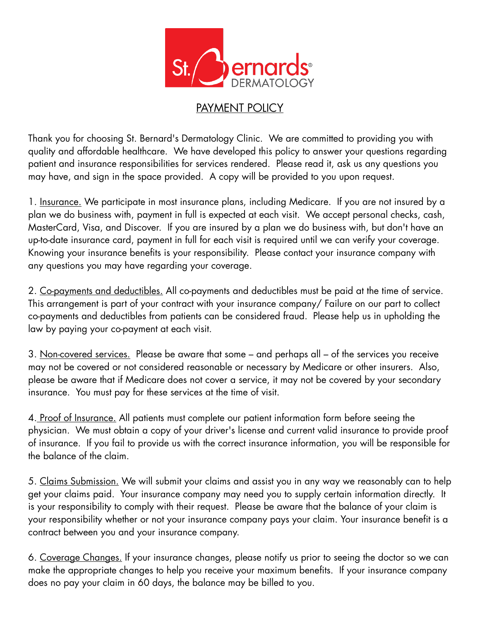

# PAYMENT POLICY

Thank you for choosing St. Bernard's Dermatology Clinic. We are committed to providing you with quality and affordable healthcare. We have developed this policy to answer your questions regarding patient and insurance responsibilities for services rendered. Please read it, ask us any questions you may have, and sign in the space provided. A copy will be provided to you upon request.

1. Insurance. We participate in most insurance plans, including Medicare. If you are not insured by a plan we do business with, payment in full is expected at each visit. We accept personal checks, cash, MasterCard, Visa, and Discover. If you are insured by a plan we do business with, but don't have an up-to-date insurance card, payment in full for each visit is required until we can verify your coverage. Knowing your insurance benefits is your responsibility. Please contact your insurance company with any questions you may have regarding your coverage.

2. Co-payments and deductibles. All co-payments and deductibles must be paid at the time of service. This arrangement is part of your contract with your insurance company/ Failure on our part to collect co-payments and deductibles from patients can be considered fraud. Please help us in upholding the law by paying your co-payment at each visit.

3. Non-covered services. Please be aware that some – and perhaps all – of the services you receive may not be covered or not considered reasonable or necessary by Medicare or other insurers. Also, please be aware that if Medicare does not cover a service, it may not be covered by your secondary insurance. You must pay for these services at the time of visit.

4. Proof of Insurance. All patients must complete our patient information form before seeing the physician. We must obtain a copy of your driver's license and current valid insurance to provide proof of insurance. If you fail to provide us with the correct insurance information, you will be responsible for the balance of the claim.

5. Claims Submission. We will submit your claims and assist you in any way we reasonably can to help get your claims paid. Your insurance company may need you to supply certain information directly. It is your responsibility to comply with their request. Please be aware that the balance of your claim is your responsibility whether or not your insurance company pays your claim. Your insurance benefit is a contract between you and your insurance company.

6. Coverage Changes. If your insurance changes, please notify us prior to seeing the doctor so we can make the appropriate changes to help you receive your maximum benefits. If your insurance company does no pay your claim in 60 days, the balance may be billed to you.